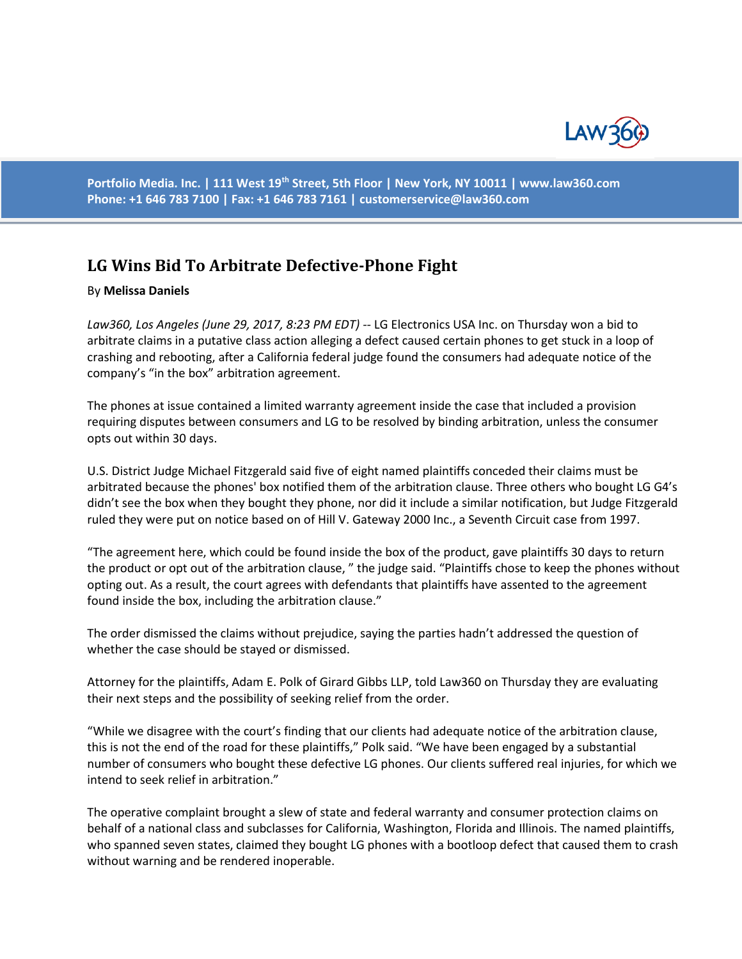

**Portfolio Media. Inc. | 111 West 19th Street, 5th Floor | New York, NY 10011 | www.law360.com Phone: +1 646 783 7100 | Fax: +1 646 783 7161 | [customerservice@law360.com](mailto:customerservice@law360.com)**

## **LG Wins Bid To Arbitrate Defective-Phone Fight**

## By **Melissa Daniels**

*Law360, Los Angeles (June 29, 2017, 8:23 PM EDT) --* LG Electronics USA Inc. on Thursday won a bid to arbitrate claims in a putative class action alleging a defect caused certain phones to get stuck in a loop of crashing and rebooting, after a California federal judge found the consumers had adequate notice of the company's "in the box" arbitration agreement.

The phones at issue contained a limited warranty agreement inside the case that included a provision requiring disputes between consumers and LG to be resolved by binding arbitration, unless the consumer opts out within 30 days.

U.S. District Judge Michael Fitzgerald said five of eight named plaintiffs conceded their claims must be arbitrated because the phones' box notified them of the arbitration clause. Three others who bought LG G4's didn't see the box when they bought they phone, nor did it include a similar notification, but Judge Fitzgerald ruled they were put on notice based on of Hill V. Gateway 2000 Inc., a Seventh Circuit case from 1997.

"The agreement here, which could be found inside the box of the product, gave plaintiffs 30 days to return the product or opt out of the arbitration clause, " the judge said. "Plaintiffs chose to keep the phones without opting out. As a result, the court agrees with defendants that plaintiffs have assented to the agreement found inside the box, including the arbitration clause."

The order dismissed the claims without prejudice, saying the parties hadn't addressed the question of whether the case should be stayed or dismissed.

Attorney for the plaintiffs, Adam E. Polk of Girard Gibbs LLP, told Law360 on Thursday they are evaluating their next steps and the possibility of seeking relief from the order.

"While we disagree with the court's finding that our clients had adequate notice of the arbitration clause, this is not the end of the road for these plaintiffs," Polk said. "We have been engaged by a substantial number of consumers who bought these defective LG phones. Our clients suffered real injuries, for which we intend to seek relief in arbitration."

The operative complaint brought a slew of state and federal warranty and consumer protection claims on behalf of a national class and subclasses for California, Washington, Florida and Illinois. The named plaintiffs, who spanned seven states, claimed they bought LG phones with a bootloop defect that caused them to crash without warning and be rendered inoperable.